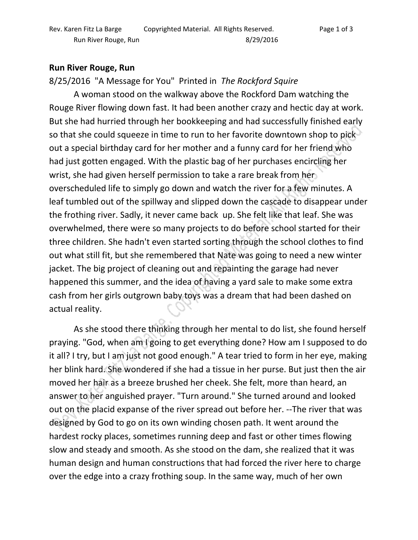## **Run River Rouge, Run**

8/25/2016 "A Message for You" Printed in *The Rockford Squire*

 A woman stood on the walkway above the Rockford Dam watching the Rouge River flowing down fast. It had been another crazy and hectic day at work. But she had hurried through her bookkeeping and had successfully finished early so that she could squeeze in time to run to her favorite downtown shop to pick out a special birthday card for her mother and a funny card for her friend who had just gotten engaged. With the plastic bag of her purchases encircling her wrist, she had given herself permission to take a rare break from her overscheduled life to simply go down and watch the river for a few minutes. A leaf tumbled out of the spillway and slipped down the cascade to disappear under the frothing river. Sadly, it never came back up. She felt like that leaf. She was overwhelmed, there were so many projects to do before school started for their three children. She hadn't even started sorting through the school clothes to find out what still fit, but she remembered that Nate was going to need a new winter jacket. The big project of cleaning out and repainting the garage had never happened this summer, and the idea of having a yard sale to make some extra cash from her girls outgrown baby toys was a dream that had been dashed on actual reality.

 As she stood there thinking through her mental to do list, she found herself praying. "God, when am I going to get everything done? How am I supposed to do it all? I try, but I am just not good enough." A tear tried to form in her eye, making her blink hard. She wondered if she had a tissue in her purse. But just then the air moved her hair as a breeze brushed her cheek. She felt, more than heard, an answer to her anguished prayer. "Turn around." She turned around and looked out on the placid expanse of the river spread out before her. --The river that was designed by God to go on its own winding chosen path. It went around the hardest rocky places, sometimes running deep and fast or other times flowing slow and steady and smooth. As she stood on the dam, she realized that it was human design and human constructions that had forced the river here to charge over the edge into a crazy frothing soup. In the same way, much of her own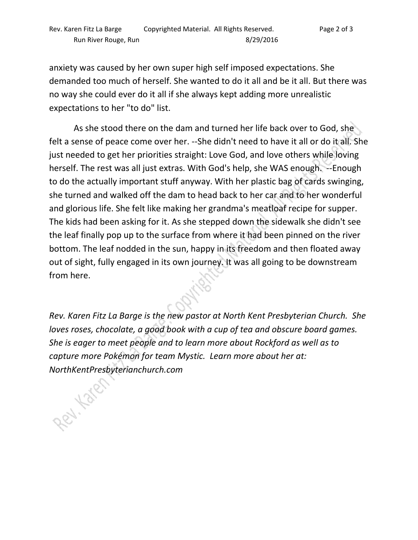anxiety was caused by her own super high self imposed expectations. She demanded too much of herself. She wanted to do it all and be it all. But there was no way she could ever do it all if she always kept adding more unrealistic expectations to her "to do" list.

As she stood there on the dam and turned her life back over to God, she felt a sense of peace come over her. --She didn't need to have it all or do it all. She just needed to get her priorities straight: Love God, and love others while loving herself. The rest was all just extras. With God's help, she WAS enough. --Enough to do the actually important stuff anyway. With her plastic bag of cards swinging, she turned and walked off the dam to head back to her car and to her wonderful and glorious life. She felt like making her grandma's meatloaf recipe for supper. The kids had been asking for it. As she stepped down the sidewalk she didn't see the leaf finally pop up to the surface from where it had been pinned on the river bottom. The leaf nodded in the sun, happy in its freedom and then floated away out of sight, fully engaged in its own journey. It was all going to be downstream from here.

*Rev. Karen Fitz La Barge is the new pastor at North Kent Presbyterian Church. She loves roses, chocolate, a good book with a cup of tea and obscure board games. She is eager to meet people and to learn more about Rockford as well as to capture more Pokémon for team Mystic. Learn more about her at:* 

*NorthKentPresbyterianchurch.com*